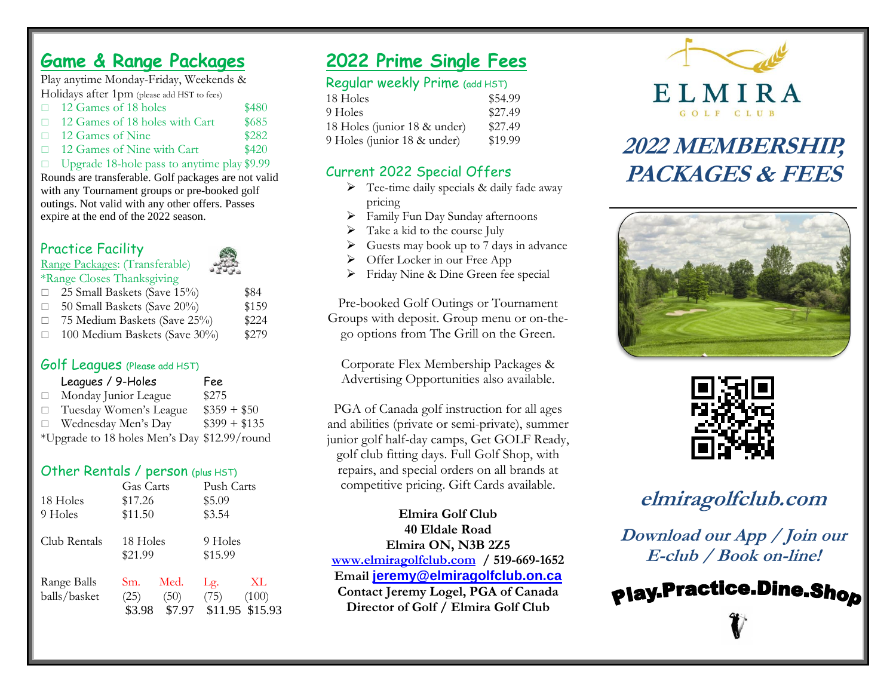### **Game & Range Packages**

Play anytime Monday-Friday, Weekends & Holidays after 1pm (please add HST to fees)

- $\Box$  12 Games of 18 holes  $$480$ 12 Games of 18 holes with Cart \$685
- $\Box$  12 Games of Nine  $$282$
- $\Box$  12 Games of Nine with Cart \$420
- $\Box$  Upgrade 18-hole pass to anytime play \$9.99

Rounds are transferable. Golf packages are not valid with any Tournament groups or pre-booked golf outings. Not valid with any other offers. Passes expire at the end of the 2022 season.

### Practice Facility

Range Packages: (Transferable) \*Range Closes Thanksgiving



| $\Box$ | 25 Small Baskets (Save 15%)   | \$84  |
|--------|-------------------------------|-------|
| $\Box$ | 50 Small Baskets (Save 20%)   | \$159 |
| O.     | 75 Medium Baskets (Save 25%)  | \$224 |
| $\Box$ | 100 Medium Baskets (Save 30%) | \$279 |

#### Golf Leagues (Please add HST)

|        | Leagues / 9-Holes                            | Fee           |
|--------|----------------------------------------------|---------------|
| $\Box$ | Monday Junior League                         | \$275         |
| $\Box$ | Tuesday Women's League                       | $$359 + $50$  |
| $\Box$ | Wednesday Men's Day                          | $$399 + $135$ |
|        | *Upgrade to 18 holes Men's Day \$12.99/round |               |

#### Other Rentals / person (plus HST)

| 18 Holes<br>9 Holes         | <b>Gas Carts</b><br>\$17.26<br>\$11.50          | Push Carts<br>\$5.09<br>\$3.54                |
|-----------------------------|-------------------------------------------------|-----------------------------------------------|
| Club Rentals                | 18 Holes<br>\$21.99                             | 9 Holes<br>\$15.99                            |
| Range Balls<br>balls/basket | Med.<br>Sm.<br>(25)<br>(50)<br>\$7.97<br>\$3.98 | XL<br>Lg.<br>(100)<br>(75)<br>\$11.95 \$15.93 |

### **2022 Prime Single Fees**

#### Regular weekly Prime (add HST)

| 18 Holes                     | \$54.99 |
|------------------------------|---------|
| 9 Holes                      | \$27.49 |
| 18 Holes (junior 18 & under) | \$27.49 |
| 9 Holes (junior 18 & under)  | \$19.99 |

#### Current 2022 Special Offers

- $\triangleright$  Tee-time daily specials & daily fade away pricing
- ➢ Family Fun Day Sunday afternoons
- $\triangleright$  Take a kid to the course July
- $\triangleright$  Guests may book up to 7 days in advance
- $\triangleright$  Offer Locker in our Free App
- ➢ Friday Nine & Dine Green fee special

Pre-booked Golf Outings or Tournament Groups with deposit. Group menu or on-thego options from The Grill on the Green.

Corporate Flex Membership Packages & Advertising Opportunities also available.

PGA of Canada golf instruction for all ages and abilities (private or semi-private), summer junior golf half-day camps, Get GOLF Ready, golf club fitting days. Full Golf Shop, with repairs, and special orders on all brands at competitive pricing. Gift Cards available.

### **Elmira Golf Club 40 Eldale Road**

**Elmira ON, N3B 2Z5 [www.elmiragolfclub.com](http://www.elmiragolfclub.com/) / 519-669-1652 Email [jeremy@elmiragolfclub.on.ca](mailto:jeremy@elmiragolfclub.on.ca) Contact Jeremy Logel, PGA of Canada Director of Golf / Elmira Golf Club**



# **2022 MEMBERSHIP, PACKAGES & FEES**





# **[elmiragolfclub.com](http://www.elmiragolfclub.com/)**

**Download our App / Join our E-club / Book on-line!**

**Play.Practice.Dine.Shop**